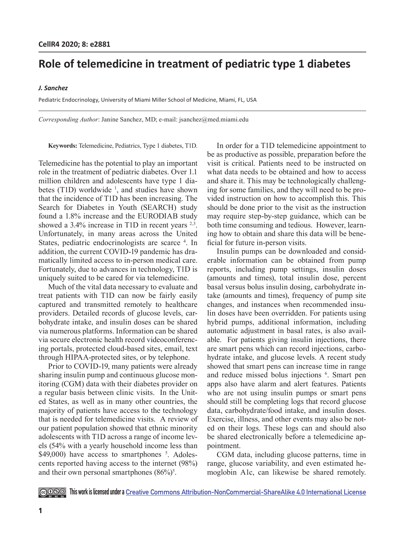# **Role of telemedicine in treatment of pediatric type 1 diabetes**

## *J. Sanchez*

Pediatric Endocrinology, University of Miami Miller School of Medicine, Miami, FL, USA

*Corresponding Author*: Janine Sanchez, MD; e-mail: jsanchez@med.miami.edu

**Keywords:** Telemedicine, Pediatrics, Type 1 diabetes, T1D.

Telemedicine has the potential to play an important role in the treatment of pediatric diabetes. Over 1.1 million children and adolescents have type 1 diabetes (T1D) worldwide  $\frac{1}{2}$ , and studies have shown that the incidence of T1D has been increasing. The Search for Diabetes in Youth (SEARCH) study found a 1.8% increase and the EURODIAB study showed a 3.4% increase in T1D in recent years <sup>2,3</sup>. Unfortunately, in many areas across the United States, pediatric endocrinologists are scarce 4. In addition, the current COVID-19 pandemic has dramatically limited access to in-person medical care. Fortunately, due to advances in technology, T1D is uniquely suited to be cared for via telemedicine.

Much of the vital data necessary to evaluate and treat patients with T1D can now be fairly easily captured and transmitted remotely to healthcare providers. Detailed records of glucose levels, carbohydrate intake, and insulin doses can be shared via numerous platforms. Information can be shared via secure electronic health record videoconferencing portals, protected cloud-based sites, email, text through HIPAA-protected sites, or by telephone.

Prior to COVID-19, many patients were already sharing insulin pump and continuous glucose monitoring (CGM) data with their diabetes provider on a regular basis between clinic visits. In the United States, as well as in many other countries, the majority of patients have access to the technology that is needed for telemedicine visits. A review of our patient population showed that ethnic minority adolescents with T1D across a range of income levels (54% with a yearly household income less than \$49,000) have access to smartphones <sup>5</sup>. Adolescents reported having access to the internet (98%) and their own personal smartphones  $(86\%)^5$ .

In order for a T1D telemedicine appointment to be as productive as possible, preparation before the visit is critical. Patients need to be instructed on what data needs to be obtained and how to access and share it. This may be technologically challenging for some families, and they will need to be provided instruction on how to accomplish this. This should be done prior to the visit as the instruction may require step-by-step guidance, which can be both time consuming and tedious. However, learning how to obtain and share this data will be beneficial for future in-person visits.

Insulin pumps can be downloaded and considerable information can be obtained from pump reports, including pump settings, insulin doses (amounts and times), total insulin dose, percent basal versus bolus insulin dosing, carbohydrate intake (amounts and times), frequency of pump site changes, and instances when recommended insulin doses have been overridden. For patients using hybrid pumps, additional information, including automatic adjustment in basal rates, is also available. For patients giving insulin injections, there are smart pens which can record injections, carbohydrate intake, and glucose levels. A recent study showed that smart pens can increase time in range and reduce missed bolus injections <sup>6</sup>. Smart pen apps also have alarm and alert features. Patients who are not using insulin pumps or smart pens should still be completing logs that record glucose data, carbohydrate/food intake, and insulin doses. Exercise, illness, and other events may also be noted on their logs. These logs can and should also be shared electronically before a telemedicine appointment.

CGM data, including glucose patterns, time in range, glucose variability, and even estimated hemoglobin A1c, can likewise be shared remotely.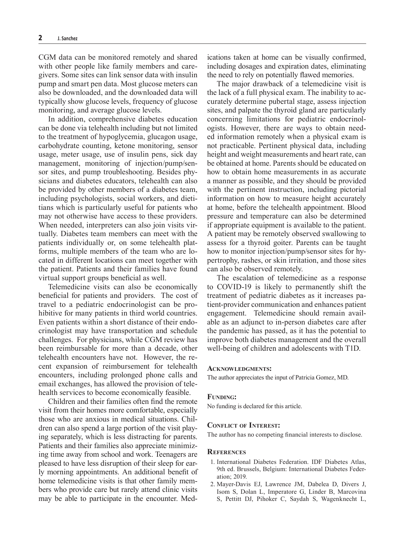CGM data can be monitored remotely and shared with other people like family members and caregivers. Some sites can link sensor data with insulin pump and smart pen data. Most glucose meters can also be downloaded, and the downloaded data will typically show glucose levels, frequency of glucose monitoring, and average glucose levels.

In addition, comprehensive diabetes education can be done via telehealth including but not limited to the treatment of hypoglycemia, glucagon usage, carbohydrate counting, ketone monitoring, sensor usage, meter usage, use of insulin pens, sick day management, monitoring of injection/pump/sensor sites, and pump troubleshooting. Besides physicians and diabetes educators, telehealth can also be provided by other members of a diabetes team, including psychologists, social workers, and dietitians which is particularly useful for patients who may not otherwise have access to these providers. When needed, interpreters can also join visits virtually. Diabetes team members can meet with the patients individually or, on some telehealth platforms, multiple members of the team who are located in different locations can meet together with the patient. Patients and their families have found virtual support groups beneficial as well.

Telemedicine visits can also be economically beneficial for patients and providers. The cost of travel to a pediatric endocrinologist can be prohibitive for many patients in third world countries. Even patients within a short distance of their endocrinologist may have transportation and schedule challenges. For physicians, while CGM review has been reimbursable for more than a decade, other telehealth encounters have not. However, the recent expansion of reimbursement for telehealth encounters, including prolonged phone calls and email exchanges, has allowed the provision of telehealth services to become economically feasible.

Children and their families often find the remote visit from their homes more comfortable, especially those who are anxious in medical situations. Children can also spend a large portion of the visit playing separately, which is less distracting for parents. Patients and their families also appreciate minimizing time away from school and work. Teenagers are pleased to have less disruption of their sleep for early morning appointments. An additional benefit of home telemedicine visits is that other family members who provide care but rarely attend clinic visits may be able to participate in the encounter. Medications taken at home can be visually confirmed, including dosages and expiration dates, eliminating the need to rely on potentially flawed memories.

The major drawback of a telemedicine visit is the lack of a full physical exam. The inability to accurately determine pubertal stage, assess injection sites, and palpate the thyroid gland are particularly concerning limitations for pediatric endocrinologists. However, there are ways to obtain needed information remotely when a physical exam is not practicable. Pertinent physical data, including height and weight measurements and heart rate, can be obtained at home. Parents should be educated on how to obtain home measurements in as accurate a manner as possible, and they should be provided with the pertinent instruction, including pictorial information on how to measure height accurately at home, before the telehealth appointment. Blood pressure and temperature can also be determined if appropriate equipment is available to the patient. A patient may be remotely observed swallowing to assess for a thyroid goiter. Parents can be taught how to monitor injection/pump/sensor sites for hypertrophy, rashes, or skin irritation, and those sites can also be observed remotely.

The escalation of telemedicine as a response to COVID-19 is likely to permanently shift the treatment of pediatric diabetes as it increases patient-provider communication and enhances patient engagement. Telemedicine should remain available as an adjunct to in-person diabetes care after the pandemic has passed, as it has the potential to improve both diabetes management and the overall well-being of children and adolescents with T1D.

## **Acknowledgments:**

The author appreciates the input of Patricia Gomez, MD.

#### **Funding:**

No funding is declared for this article.

### **Conflict of Interest:**

The author has no competing financial interests to disclose.

#### **References**

- 1. International Diabetes Federation. IDF Diabetes Atlas, 9th ed. Brussels, Belgium: International Diabetes Federation; 2019.
- 2. Mayer-Davis EJ, Lawrence JM, Dabelea D, Divers J, Isom S, Dolan L, Imperatore G, Linder B, Marcovina S, Pettitt DJ, Pihoker C, Saydah S, Wagenknecht L,